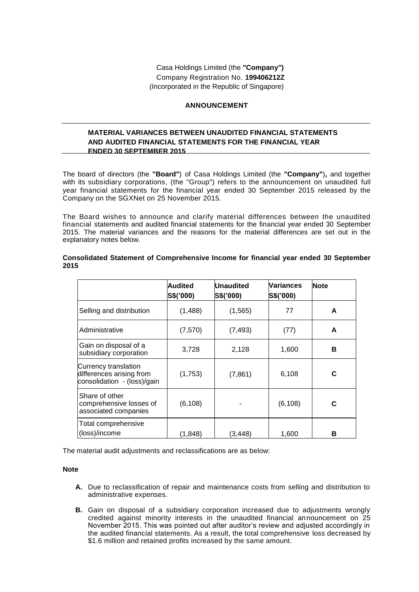# **ANNOUNCEMENT**

## **MATERIAL VARIANCES BETWEEN UNAUDITED FINANCIAL STATEMENTS AND AUDITED FINANCIAL STATEMENTS FOR THE FINANCIAL YEAR ENDED 30 SEPTEMBER 2015**

The board of directors (the **"Board"**) of Casa Holdings Limited (the **"Company"**)**,** and together with its subsidiary corporations, (the "Group") refers to the announcement on unaudited full year financial statements for the financial year ended 30 September 2015 released by the Company on the SGXNet on 25 November 2015.

The Board wishes to announce and clarify material differences between the unaudited financial statements and audited financial statements for the financial year ended 30 September 2015. The material variances and the reasons for the material differences are set out in the explanatory notes below.

|                                                                                 | Audited<br>S\$('000) | <b>Unaudited</b><br>S\$('000) | Variances<br>S\$('000) | <b>Note</b> |
|---------------------------------------------------------------------------------|----------------------|-------------------------------|------------------------|-------------|
| Selling and distribution                                                        | (1,488)              | (1, 565)                      | 77                     | A           |
| Administrative                                                                  | (7, 570)             | (7, 493)                      | (77)                   | A           |
| Gain on disposal of a<br>subsidiary corporation                                 | 3,728                | 2,128                         | 1,600                  | В           |
| Currency translation<br>differences arising from<br>consolidation - (loss)/gain | (1,753)              | (7, 861)                      | 6,108                  | C           |
| Share of other<br>comprehensive losses of<br>associated companies               | (6, 108)             |                               | (6, 108)               | C           |
| Total comprehensive<br>(loss)/income                                            | (1.848)              | (3,448)                       | 1,600                  | в           |

**Consolidated Statement of Comprehensive Income for financial year ended 30 September 2015**

The material audit adjustments and reclassifications are as below:

#### **Note**

- **A.** Due to reclassification of repair and maintenance costs from selling and distribution to administrative expenses.
- **B.** Gain on disposal of a subsidiary corporation increased due to adjustments wrongly credited against minority interests in the unaudited financial announcement on 25 November 2015. This was pointed out after auditor's review and adjusted accordingly in the audited financial statements. As a result, the total comprehensive loss decreased by \$1.6 million and retained profits increased by the same amount.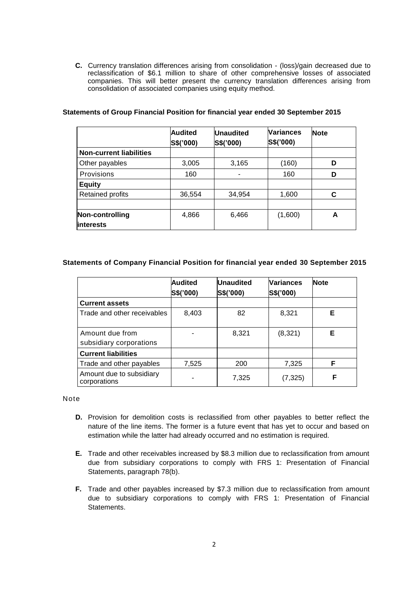**C.** Currency translation differences arising from consolidation - (loss)/gain decreased due to reclassification of \$6.1 million to share of other comprehensive losses of associated companies. This will better present the currency translation differences arising from consolidation of associated companies using equity method.

|                                      | <b>Audited</b><br>S\$('000) | <b>Unaudited</b><br>S\$('000) | <b>Variances</b><br>S\$('000) | <b>Note</b> |
|--------------------------------------|-----------------------------|-------------------------------|-------------------------------|-------------|
| <b>Non-current liabilities</b>       |                             |                               |                               |             |
| Other payables                       | 3,005                       | 3,165                         | (160)                         | D           |
| Provisions                           | 160                         |                               | 160                           | D           |
| <b>Equity</b>                        |                             |                               |                               |             |
| Retained profits                     | 36,554                      | 34,954                        | 1,600                         |             |
|                                      |                             |                               |                               |             |
| Non-controlling<br><b>linterests</b> | 4,866                       | 6,466                         | (1,600)                       | А           |

## **Statements of Group Financial Position for financial year ended 30 September 2015**

## **Statements of Company Financial Position for financial year ended 30 September 2015**

|                                            | <b>Audited</b><br>S\$('000) | <b>Unaudited</b><br>S\$('000) | <b>Variances</b><br>S\$('000) | <b>Note</b> |
|--------------------------------------------|-----------------------------|-------------------------------|-------------------------------|-------------|
| <b>Current assets</b>                      |                             |                               |                               |             |
| Trade and other receivables                | 8,403                       | 82                            | 8,321                         | Е           |
| Amount due from<br>subsidiary corporations |                             | 8,321                         | (8,321)                       | Е           |
| <b>Current liabilities</b>                 |                             |                               |                               |             |
| Trade and other payables                   | 7,525                       | 200                           | 7,325                         | F           |
| Amount due to subsidiary<br>corporations   |                             | 7,325                         | (7, 325)                      | F           |

Note

- **D.** Provision for demolition costs is reclassified from other payables to better reflect the nature of the line items. The former is a future event that has yet to occur and based on estimation while the latter had already occurred and no estimation is required.
- **E.** Trade and other receivables increased by \$8.3 million due to reclassification from amount due from subsidiary corporations to comply with FRS 1: Presentation of Financial Statements, paragraph 78(b).
- **F.** Trade and other payables increased by \$7.3 million due to reclassification from amount due to subsidiary corporations to comply with FRS 1: Presentation of Financial Statements.